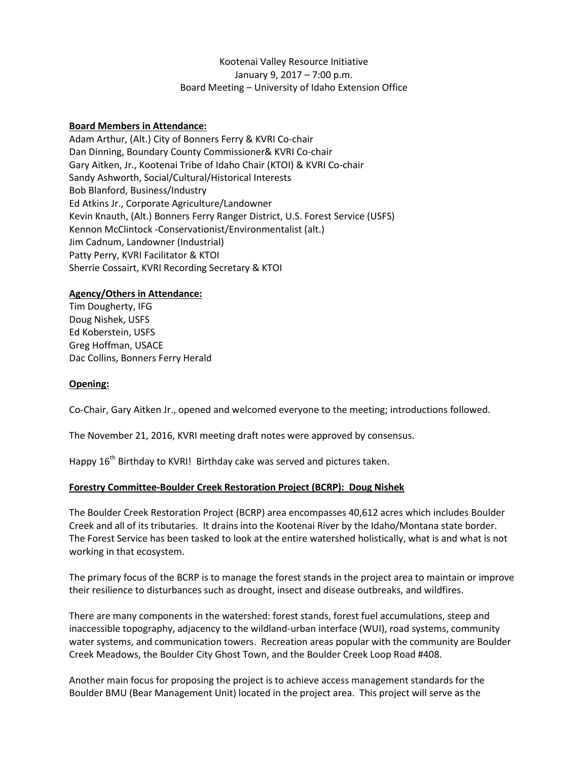# Kootenai Valley Resource Initiative January 9, 2017 – 7:00 p.m. Board Meeting – University of Idaho Extension Office

## **Board Members in Attendance:**

Adam Arthur, (Alt.) City of Bonners Ferry & KVRI Co-chair Dan Dinning, Boundary County Commissioner& KVRI Co-chair Gary Aitken, Jr., Kootenai Tribe of Idaho Chair (KTOI) & KVRI Co-chair Sandy Ashworth, Social/Cultural/Historical Interests Bob Blanford, Business/Industry Ed Atkins Jr., Corporate Agriculture/Landowner Kevin Knauth, (Alt.) Bonners Ferry Ranger District, U.S. Forest Service (USFS) Kennon McClintock -Conservationist/Environmentalist (alt.) Jim Cadnum, Landowner (Industrial) Patty Perry, KVRI Facilitator & KTOI Sherrie Cossairt, KVRI Recording Secretary & KTOI

#### **Agency/Others in Attendance:**

Tim Dougherty, IFG Doug Nishek, USFS Ed Koberstein, USFS Greg Hoffman, USACE Dac Collins, Bonners Ferry Herald

#### **Opening:**

Co-Chair, Gary Aitken Jr., opened and welcomed everyone to the meeting; introductions followed.

The November 21, 2016, KVRI meeting draft notes were approved by consensus.

Happy 16<sup>th</sup> Birthday to KVRI! Birthday cake was served and pictures taken.

#### **Forestry Committee-Boulder Creek Restoration Project (BCRP): Doug Nishek**

The Boulder Creek Restoration Project (BCRP) area encompasses 40,612 acres which includes Boulder Creek and all of its tributaries. It drains into the Kootenai River by the Idaho/Montana state border. The Forest Service has been tasked to look at the entire watershed holistically, what is and what is not working in that ecosystem.

The primary focus of the BCRP is to manage the forest stands in the project area to maintain or improve their resilience to disturbances such as drought, insect and disease outbreaks, and wildfires.

There are many components in the watershed: forest stands, forest fuel accumulations, steep and inaccessible topography, adjacency to the wildland-urban interface (WUI), road systems, community water systems, and communication towers. Recreation areas popular with the community are Boulder Creek Meadows, the Boulder City Ghost Town, and the Boulder Creek Loop Road #408.

Another main focus for proposing the project is to achieve access management standards for the Boulder BMU (Bear Management Unit) located in the project area. This project will serve as the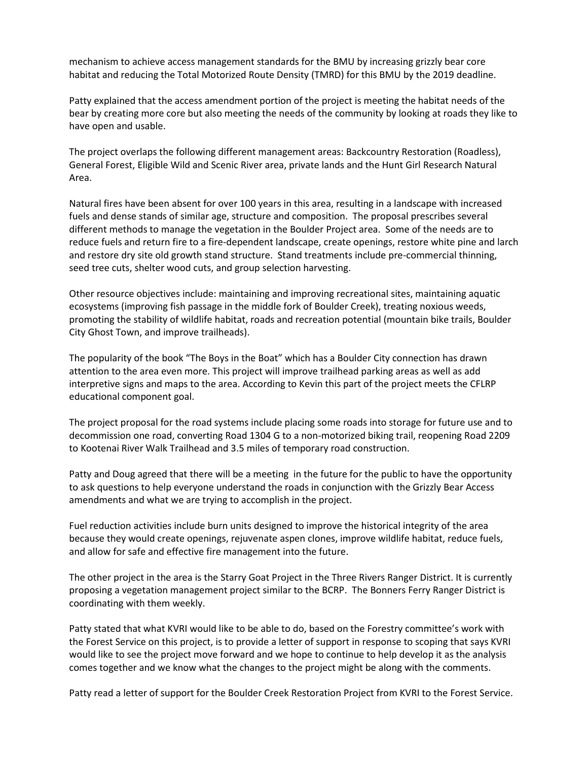mechanism to achieve access management standards for the BMU by increasing grizzly bear core habitat and reducing the Total Motorized Route Density (TMRD) for this BMU by the 2019 deadline.

Patty explained that the access amendment portion of the project is meeting the habitat needs of the bear by creating more core but also meeting the needs of the community by looking at roads they like to have open and usable.

The project overlaps the following different management areas: Backcountry Restoration (Roadless), General Forest, Eligible Wild and Scenic River area, private lands and the Hunt Girl Research Natural Area.

Natural fires have been absent for over 100 years in this area, resulting in a landscape with increased fuels and dense stands of similar age, structure and composition. The proposal prescribes several different methods to manage the vegetation in the Boulder Project area. Some of the needs are to reduce fuels and return fire to a fire-dependent landscape, create openings, restore white pine and larch and restore dry site old growth stand structure. Stand treatments include pre-commercial thinning, seed tree cuts, shelter wood cuts, and group selection harvesting.

Other resource objectives include: maintaining and improving recreational sites, maintaining aquatic ecosystems (improving fish passage in the middle fork of Boulder Creek), treating noxious weeds, promoting the stability of wildlife habitat, roads and recreation potential (mountain bike trails, Boulder City Ghost Town, and improve trailheads).

The popularity of the book "The Boys in the Boat" which has a Boulder City connection has drawn attention to the area even more. This project will improve trailhead parking areas as well as add interpretive signs and maps to the area. According to Kevin this part of the project meets the CFLRP educational component goal.

The project proposal for the road systems include placing some roads into storage for future use and to decommission one road, converting Road 1304 G to a non-motorized biking trail, reopening Road 2209 to Kootenai River Walk Trailhead and 3.5 miles of temporary road construction.

Patty and Doug agreed that there will be a meeting in the future for the public to have the opportunity to ask questions to help everyone understand the roads in conjunction with the Grizzly Bear Access amendments and what we are trying to accomplish in the project.

Fuel reduction activities include burn units designed to improve the historical integrity of the area because they would create openings, rejuvenate aspen clones, improve wildlife habitat, reduce fuels, and allow for safe and effective fire management into the future.

The other project in the area is the Starry Goat Project in the Three Rivers Ranger District. It is currently proposing a vegetation management project similar to the BCRP. The Bonners Ferry Ranger District is coordinating with them weekly.

Patty stated that what KVRI would like to be able to do, based on the Forestry committee's work with the Forest Service on this project, is to provide a letter of support in response to scoping that says KVRI would like to see the project move forward and we hope to continue to help develop it as the analysis comes together and we know what the changes to the project might be along with the comments.

Patty read a letter of support for the Boulder Creek Restoration Project from KVRI to the Forest Service.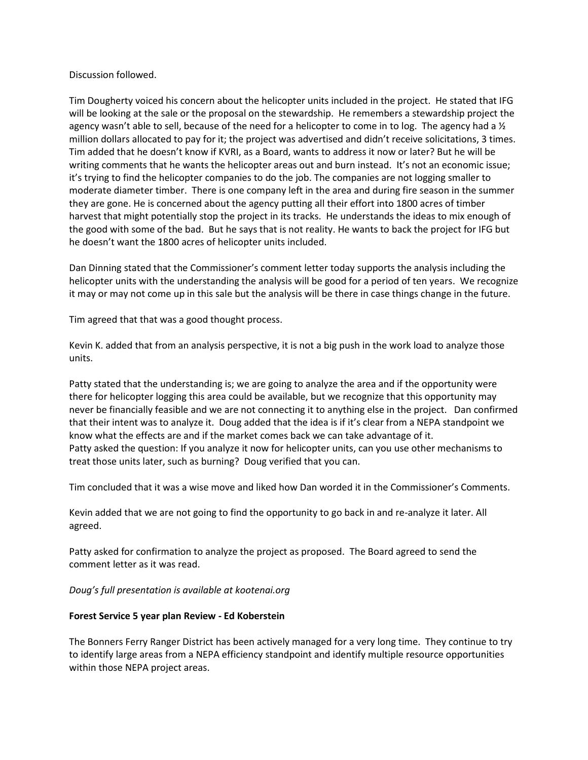## Discussion followed.

Tim Dougherty voiced his concern about the helicopter units included in the project. He stated that IFG will be looking at the sale or the proposal on the stewardship. He remembers a stewardship project the agency wasn't able to sell, because of the need for a helicopter to come in to log. The agency had a  $\frac{1}{2}$ million dollars allocated to pay for it; the project was advertised and didn't receive solicitations, 3 times. Tim added that he doesn't know if KVRI, as a Board, wants to address it now or later? But he will be writing comments that he wants the helicopter areas out and burn instead. It's not an economic issue; it's trying to find the helicopter companies to do the job. The companies are not logging smaller to moderate diameter timber. There is one company left in the area and during fire season in the summer they are gone. He is concerned about the agency putting all their effort into 1800 acres of timber harvest that might potentially stop the project in its tracks. He understands the ideas to mix enough of the good with some of the bad. But he says that is not reality. He wants to back the project for IFG but he doesn't want the 1800 acres of helicopter units included.

Dan Dinning stated that the Commissioner's comment letter today supports the analysis including the helicopter units with the understanding the analysis will be good for a period of ten years. We recognize it may or may not come up in this sale but the analysis will be there in case things change in the future.

Tim agreed that that was a good thought process.

Kevin K. added that from an analysis perspective, it is not a big push in the work load to analyze those units.

Patty stated that the understanding is; we are going to analyze the area and if the opportunity were there for helicopter logging this area could be available, but we recognize that this opportunity may never be financially feasible and we are not connecting it to anything else in the project. Dan confirmed that their intent was to analyze it. Doug added that the idea is if it's clear from a NEPA standpoint we know what the effects are and if the market comes back we can take advantage of it. Patty asked the question: If you analyze it now for helicopter units, can you use other mechanisms to treat those units later, such as burning? Doug verified that you can.

Tim concluded that it was a wise move and liked how Dan worded it in the Commissioner's Comments.

Kevin added that we are not going to find the opportunity to go back in and re-analyze it later. All agreed.

Patty asked for confirmation to analyze the project as proposed. The Board agreed to send the comment letter as it was read.

*Doug's full presentation is available at kootenai.org*

## **Forest Service 5 year plan Review - Ed Koberstein**

The Bonners Ferry Ranger District has been actively managed for a very long time. They continue to try to identify large areas from a NEPA efficiency standpoint and identify multiple resource opportunities within those NEPA project areas.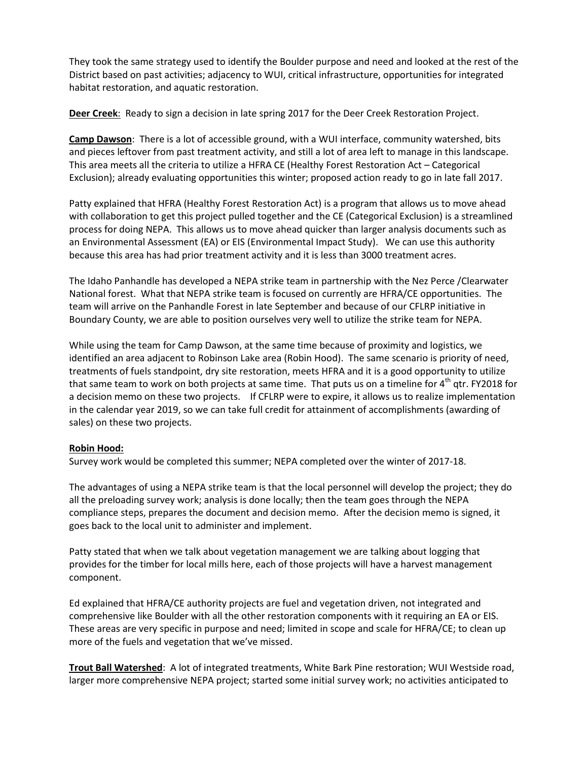They took the same strategy used to identify the Boulder purpose and need and looked at the rest of the District based on past activities; adjacency to WUI, critical infrastructure, opportunities for integrated habitat restoration, and aquatic restoration.

**Deer Creek**: Ready to sign a decision in late spring 2017 for the Deer Creek Restoration Project.

**Camp Dawson**: There is a lot of accessible ground, with a WUI interface, community watershed, bits and pieces leftover from past treatment activity, and still a lot of area left to manage in this landscape. This area meets all the criteria to utilize a HFRA CE (Healthy Forest Restoration Act – Categorical Exclusion); already evaluating opportunities this winter; proposed action ready to go in late fall 2017.

Patty explained that HFRA (Healthy Forest Restoration Act) is a program that allows us to move ahead with collaboration to get this project pulled together and the CE (Categorical Exclusion) is a streamlined process for doing NEPA. This allows us to move ahead quicker than larger analysis documents such as an Environmental Assessment (EA) or EIS (Environmental Impact Study). We can use this authority because this area has had prior treatment activity and it is less than 3000 treatment acres.

The Idaho Panhandle has developed a NEPA strike team in partnership with the Nez Perce /Clearwater National forest. What that NEPA strike team is focused on currently are HFRA/CE opportunities. The team will arrive on the Panhandle Forest in late September and because of our CFLRP initiative in Boundary County, we are able to position ourselves very well to utilize the strike team for NEPA.

While using the team for Camp Dawson, at the same time because of proximity and logistics, we identified an area adjacent to Robinson Lake area (Robin Hood). The same scenario is priority of need, treatments of fuels standpoint, dry site restoration, meets HFRA and it is a good opportunity to utilize that same team to work on both projects at same time. That puts us on a timeline for 4<sup>th</sup> qtr. FY2018 for a decision memo on these two projects. If CFLRP were to expire, it allows us to realize implementation in the calendar year 2019, so we can take full credit for attainment of accomplishments (awarding of sales) on these two projects.

## **Robin Hood:**

Survey work would be completed this summer; NEPA completed over the winter of 2017-18.

The advantages of using a NEPA strike team is that the local personnel will develop the project; they do all the preloading survey work; analysis is done locally; then the team goes through the NEPA compliance steps, prepares the document and decision memo. After the decision memo is signed, it goes back to the local unit to administer and implement.

Patty stated that when we talk about vegetation management we are talking about logging that provides for the timber for local mills here, each of those projects will have a harvest management component.

Ed explained that HFRA/CE authority projects are fuel and vegetation driven, not integrated and comprehensive like Boulder with all the other restoration components with it requiring an EA or EIS. These areas are very specific in purpose and need; limited in scope and scale for HFRA/CE; to clean up more of the fuels and vegetation that we've missed.

**Trout Ball Watershed**: A lot of integrated treatments, White Bark Pine restoration; WUI Westside road, larger more comprehensive NEPA project; started some initial survey work; no activities anticipated to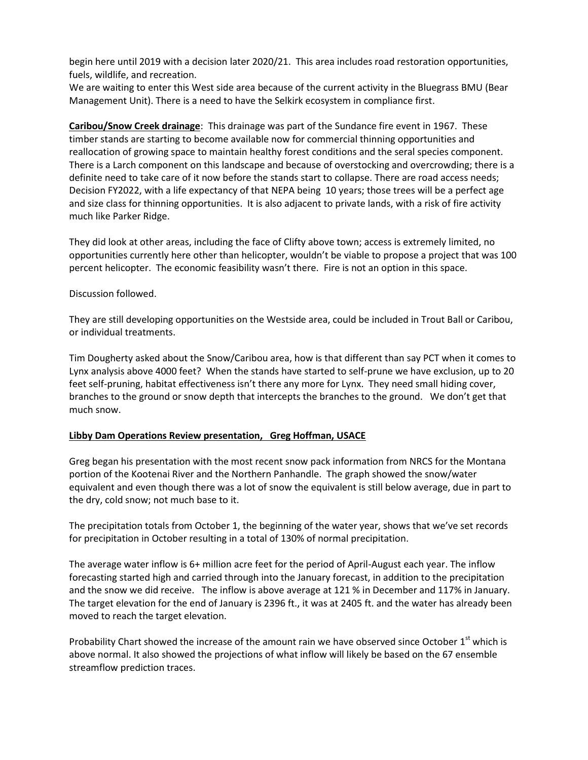begin here until 2019 with a decision later 2020/21. This area includes road restoration opportunities, fuels, wildlife, and recreation.

We are waiting to enter this West side area because of the current activity in the Bluegrass BMU (Bear Management Unit). There is a need to have the Selkirk ecosystem in compliance first.

**Caribou/Snow Creek drainage**: This drainage was part of the Sundance fire event in 1967. These timber stands are starting to become available now for commercial thinning opportunities and reallocation of growing space to maintain healthy forest conditions and the seral species component. There is a Larch component on this landscape and because of overstocking and overcrowding; there is a definite need to take care of it now before the stands start to collapse. There are road access needs; Decision FY2022, with a life expectancy of that NEPA being 10 years; those trees will be a perfect age and size class for thinning opportunities. It is also adjacent to private lands, with a risk of fire activity much like Parker Ridge.

They did look at other areas, including the face of Clifty above town; access is extremely limited, no opportunities currently here other than helicopter, wouldn't be viable to propose a project that was 100 percent helicopter. The economic feasibility wasn't there. Fire is not an option in this space.

## Discussion followed.

They are still developing opportunities on the Westside area, could be included in Trout Ball or Caribou, or individual treatments.

Tim Dougherty asked about the Snow/Caribou area, how is that different than say PCT when it comes to Lynx analysis above 4000 feet? When the stands have started to self-prune we have exclusion, up to 20 feet self-pruning, habitat effectiveness isn't there any more for Lynx. They need small hiding cover, branches to the ground or snow depth that intercepts the branches to the ground. We don't get that much snow.

# **Libby Dam Operations Review presentation, Greg Hoffman, USACE**

Greg began his presentation with the most recent snow pack information from NRCS for the Montana portion of the Kootenai River and the Northern Panhandle. The graph showed the snow/water equivalent and even though there was a lot of snow the equivalent is still below average, due in part to the dry, cold snow; not much base to it.

The precipitation totals from October 1, the beginning of the water year, shows that we've set records for precipitation in October resulting in a total of 130% of normal precipitation.

The average water inflow is 6+ million acre feet for the period of April-August each year. The inflow forecasting started high and carried through into the January forecast, in addition to the precipitation and the snow we did receive. The inflow is above average at 121 % in December and 117% in January. The target elevation for the end of January is 2396 ft., it was at 2405 ft. and the water has already been moved to reach the target elevation.

Probability Chart showed the increase of the amount rain we have observed since October  $1<sup>st</sup>$  which is above normal. It also showed the projections of what inflow will likely be based on the 67 ensemble streamflow prediction traces.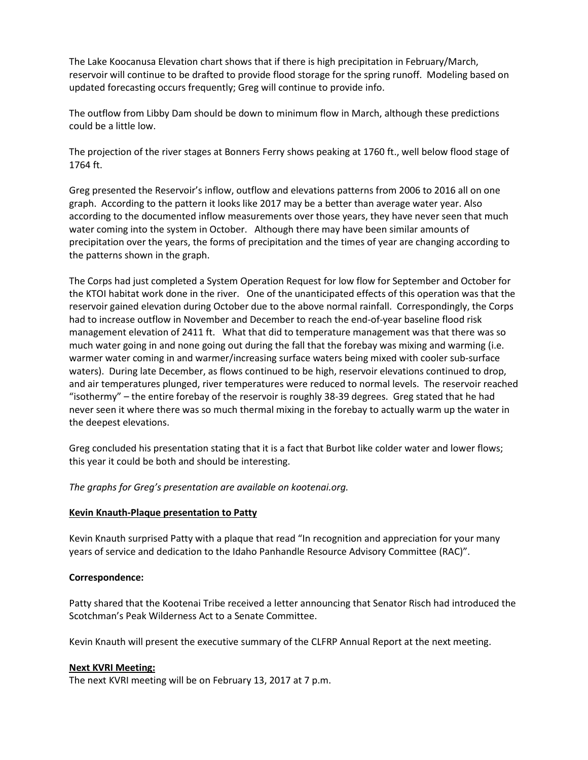The Lake Koocanusa Elevation chart shows that if there is high precipitation in February/March, reservoir will continue to be drafted to provide flood storage for the spring runoff. Modeling based on updated forecasting occurs frequently; Greg will continue to provide info.

The outflow from Libby Dam should be down to minimum flow in March, although these predictions could be a little low.

The projection of the river stages at Bonners Ferry shows peaking at 1760 ft., well below flood stage of 1764 ft.

Greg presented the Reservoir's inflow, outflow and elevations patterns from 2006 to 2016 all on one graph. According to the pattern it looks like 2017 may be a better than average water year. Also according to the documented inflow measurements over those years, they have never seen that much water coming into the system in October. Although there may have been similar amounts of precipitation over the years, the forms of precipitation and the times of year are changing according to the patterns shown in the graph.

The Corps had just completed a System Operation Request for low flow for September and October for the KTOI habitat work done in the river. One of the unanticipated effects of this operation was that the reservoir gained elevation during October due to the above normal rainfall. Correspondingly, the Corps had to increase outflow in November and December to reach the end-of-year baseline flood risk management elevation of 2411 ft. What that did to temperature management was that there was so much water going in and none going out during the fall that the forebay was mixing and warming (i.e. warmer water coming in and warmer/increasing surface waters being mixed with cooler sub-surface waters). During late December, as flows continued to be high, reservoir elevations continued to drop, and air temperatures plunged, river temperatures were reduced to normal levels. The reservoir reached "isothermy" – the entire forebay of the reservoir is roughly 38-39 degrees. Greg stated that he had never seen it where there was so much thermal mixing in the forebay to actually warm up the water in the deepest elevations.

Greg concluded his presentation stating that it is a fact that Burbot like colder water and lower flows; this year it could be both and should be interesting.

*The graphs for Greg's presentation are available on kootenai.org.*

#### **Kevin Knauth-Plaque presentation to Patty**

Kevin Knauth surprised Patty with a plaque that read "In recognition and appreciation for your many years of service and dedication to the Idaho Panhandle Resource Advisory Committee (RAC)".

## **Correspondence:**

Patty shared that the Kootenai Tribe received a letter announcing that Senator Risch had introduced the Scotchman's Peak Wilderness Act to a Senate Committee.

Kevin Knauth will present the executive summary of the CLFRP Annual Report at the next meeting.

#### **Next KVRI Meeting:**

The next KVRI meeting will be on February 13, 2017 at 7 p.m.